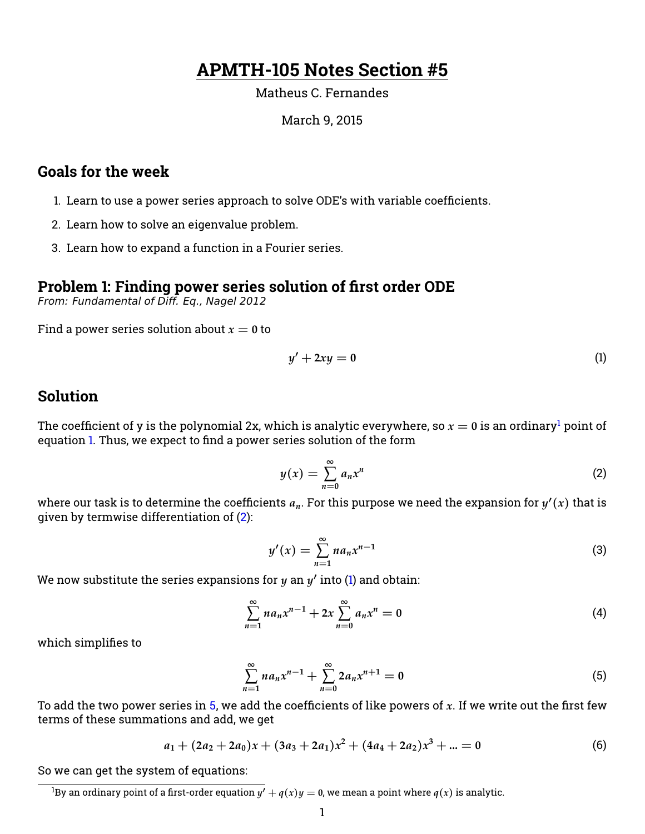# **APMTH-105 Notes Section #5**

Matheus C. Fernandes

#### March 9, 2015

### **Goals for the week**

- 1. Learn to use a power series approach to solve ODE's with variable coefficients.
- 2. Learn how to solve an eigenvalue problem.
- 3. Learn how to expand a function in a Fourier series.

#### **Problem 1: Finding power series solution of first order ODE**

From: Fundamental of Diff. Eq., Nagel 2012

Find a power series solution about  $x = 0$  to

<span id="page-0-1"></span>
$$
y' + 2xy = 0 \tag{1}
$$

#### **Solution**

The coefficient of y is the polynomial 2x, which is analytic everywhere, so  $x = 0$  is an ordinary<sup>[1](#page-0-0)</sup> point of equation [1.](#page-0-1) Thus, we expect to find a power series solution of the form

<span id="page-0-2"></span>
$$
y(x) = \sum_{n=0}^{\infty} a_n x^n
$$
 (2)

where our task is to determine the coefficients  $a_n$ . For this purpose we need the expansion for  $y'(x)$  that is given by termwise differentiation of [\(2\)](#page-0-2):

$$
y'(x) = \sum_{n=1}^{\infty} n a_n x^{n-1}
$$
 (3)

We now substitute the series expansions for  $y$  an  $y'$  into [\(1\)](#page-0-1) and obtain:

$$
\sum_{n=1}^{\infty} n a_n x^{n-1} + 2x \sum_{n=0}^{\infty} a_n x^n = 0
$$
 (4)

which simplifies to

<span id="page-0-3"></span>
$$
\sum_{n=1}^{\infty} n a_n x^{n-1} + \sum_{n=0}^{\infty} 2 a_n x^{n+1} = 0
$$
 (5)

To add the two power series in  $5$ , we add the coefficients of like powers of  $x$ . If we write out the first few terms of these summations and add, we get

$$
a_1 + (2a_2 + 2a_0)x + (3a_3 + 2a_1)x^2 + (4a_4 + 2a_2)x^3 + \dots = 0
$$
\n(6)

So we can get the system of equations:

<span id="page-0-0"></span> ${}^{1}$ By an ordinary point of a first-order equation  $y' + q(x)y = 0$ , we mean a point where  $q(x)$  is analytic.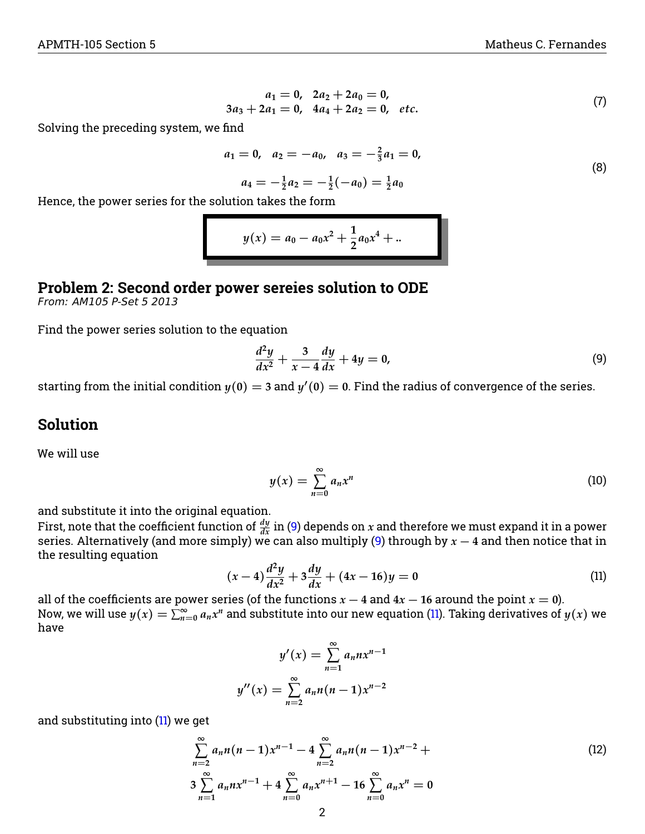$$
a_1 = 0, \ \ 2a_2 + 2a_0 = 0, 3a_3 + 2a_1 = 0, \ \ 4a_4 + 2a_2 = 0, \ \ etc.
$$
 (7)

Solving the preceding system, we find

$$
a_1 = 0, \quad a_2 = -a_0, \quad a_3 = -\frac{2}{3}a_1 = 0,
$$
  

$$
a_4 = -\frac{1}{2}a_2 = -\frac{1}{2}(-a_0) = \frac{1}{2}a_0
$$
 (8)

Hence, the power series for the solution takes the form

$$
y(x) = a_0 - a_0 x^2 + \frac{1}{2} a_0 x^4 + \dots
$$

### **Problem 2: Second order power sereies solution to ODE**

From: AM105 P-Set 5 2013

Find the power series solution to the equation

<span id="page-1-0"></span>
$$
\frac{d^2y}{dx^2} + \frac{3}{x-4}\frac{dy}{dx} + 4y = 0,\t\t(9)
$$

starting from the initial condition  $y(0) = 3$  and  $y'(0) = 0$ . Find the radius of convergence of the series.

#### **Solution**

We will use

<span id="page-1-2"></span>
$$
y(x) = \sum_{n=0}^{\infty} a_n x^n
$$
 (10)

and substitute it into the original equation.

First, note that the coefficient function of  $\frac{dy}{dx}$  in [\(9\)](#page-1-0) depends on  $x$  and therefore we must expand it in a power series. Alternatively (and more simply) we can also multiply [\(9\)](#page-1-0) through by *x* − **4** and then notice that in the resulting equation

<span id="page-1-1"></span>
$$
(x-4)\frac{d^2y}{dx^2} + 3\frac{dy}{dx} + (4x - 16)y = 0
$$
\n(11)

all of the coefficients are power series (of the functions  $x - 4$  and  $4x - 16$  around the point  $x = 0$ ). Now, we will use  $y(x)=\sum_{n=0}^\infty a_nx^n$  and substitute into our new equation [\(11\)](#page-1-1). Taking derivatives of  $y(x)$  we have

$$
y'(x) = \sum_{n=1}^{\infty} a_n n x^{n-1}
$$

$$
y''(x) = \sum_{n=2}^{\infty} a_n n (n - 1) x^{n-2}
$$

and substituting into  $(11)$  we get

$$
\sum_{n=2}^{\infty} a_n n(n-1) x^{n-1} - 4 \sum_{n=2}^{\infty} a_n n(n-1) x^{n-2} +
$$
  
3 
$$
\sum_{n=1}^{\infty} a_n n x^{n-1} + 4 \sum_{n=0}^{\infty} a_n x^{n+1} - 16 \sum_{n=0}^{\infty} a_n x^n = 0
$$
 (12)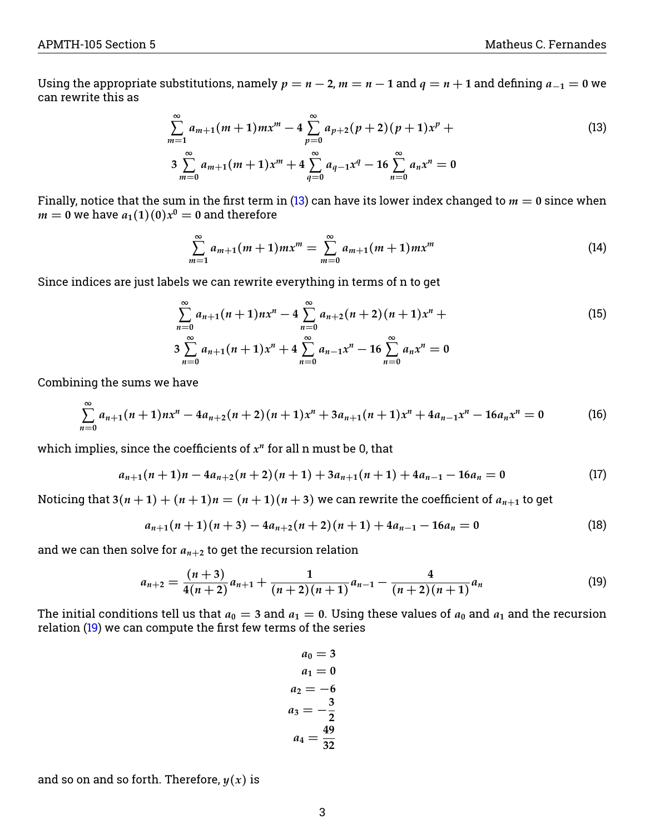Using the appropriate substitutions, namely  $p = n - 2$ ,  $m = n - 1$  and  $q = n + 1$  and defining  $a_{-1} = 0$  we can rewrite this as

<span id="page-2-0"></span>
$$
\sum_{m=1}^{\infty} a_{m+1}(m+1)mx^m - 4 \sum_{p=0}^{\infty} a_{p+2}(p+2)(p+1)x^p +
$$
  
3 
$$
\sum_{m=0}^{\infty} a_{m+1}(m+1)x^m + 4 \sum_{q=0}^{\infty} a_{q-1}x^q - 16 \sum_{n=0}^{\infty} a_nx^n = 0
$$
 (13)

Finally, notice that the sum in the first term in [\(13\)](#page-2-0) can have its lower index changed to  $m = 0$  since when  $m=0$  we have  $a_1(1)(0)x^0=0$  and therefore

$$
\sum_{m=1}^{\infty} a_{m+1}(m+1)mx^m = \sum_{m=0}^{\infty} a_{m+1}(m+1)mx^m \tag{14}
$$

Since indices are just labels we can rewrite everything in terms of n to get

$$
\sum_{n=0}^{\infty} a_{n+1}(n+1)nx^{n} - 4\sum_{n=0}^{\infty} a_{n+2}(n+2)(n+1)x^{n} +
$$
\n
$$
3\sum_{n=0}^{\infty} a_{n+1}(n+1)x^{n} + 4\sum_{n=0}^{\infty} a_{n-1}x^{n} - 16\sum_{n=0}^{\infty} a_{n}x^{n} = 0
$$
\n(15)

Combining the sums we have

$$
\sum_{n=0}^{\infty} a_{n+1}(n+1)nx^n - 4a_{n+2}(n+2)(n+1)x^n + 3a_{n+1}(n+1)x^n + 4a_{n-1}x^n - 16a_nx^n = 0
$$
 (16)

which implies, since the coefficients of *x n* for all n must be 0, that

$$
a_{n+1}(n+1)n - 4a_{n+2}(n+2)(n+1) + 3a_{n+1}(n+1) + 4a_{n-1} - 16a_n = 0
$$
\n(17)

Noticing that  $3(n+1) + (n+1)n = (n+1)(n+3)$  we can rewrite the coefficient of  $a_{n+1}$  to get

$$
a_{n+1}(n+1)(n+3) - 4a_{n+2}(n+2)(n+1) + 4a_{n-1} - 16a_n = 0
$$
\n(18)

and we can then solve for  $a_{n+2}$  to get the recursion relation

<span id="page-2-1"></span>
$$
a_{n+2} = \frac{(n+3)}{4(n+2)}a_{n+1} + \frac{1}{(n+2)(n+1)}a_{n-1} - \frac{4}{(n+2)(n+1)}a_n \tag{19}
$$

The initial conditions tell us that  $a_0 = 3$  and  $a_1 = 0$ . Using these values of  $a_0$  and  $a_1$  and the recursion relation [\(19\)](#page-2-1) we can compute the first few terms of the series

> <span id="page-2-2"></span> $a_0 = 3$  $a_1 = 0$  $a_2 = -6$  $a_3 = -\frac{3}{2}$ **2**  $a_4 = \frac{49}{22}$ **32**

and so on and so forth. Therefore,  $y(x)$  is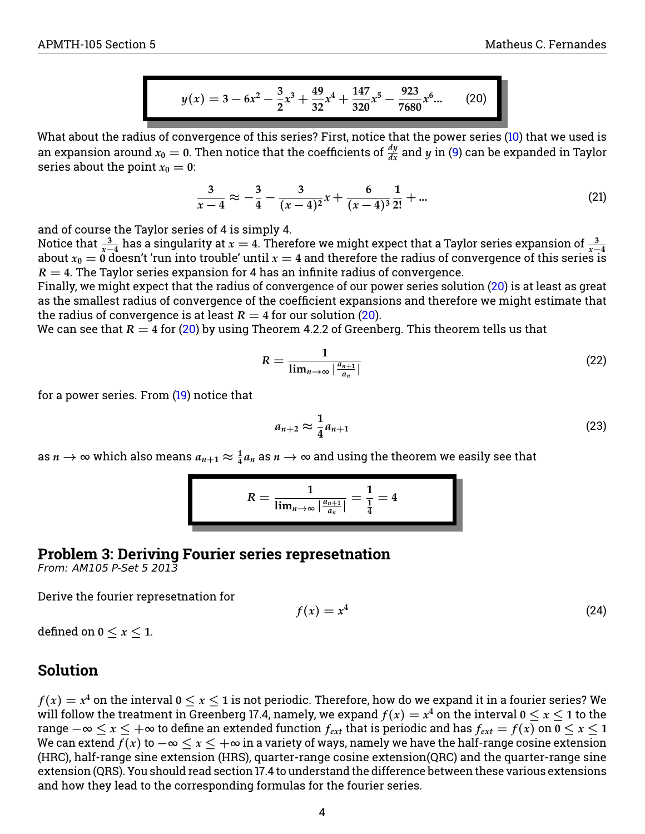$$
y(x) = 3 - 6x^{2} - \frac{3}{2}x^{3} + \frac{49}{32}x^{4} + \frac{147}{320}x^{5} - \frac{923}{7680}x^{6} \dots
$$
 (20)

What about the radius of convergence of this series? First, notice that the power series [\(10\)](#page-1-2) that we used is an expansion around  $x_0=$  0. Then notice that the coefficients of  $\frac{dy}{dx}$  and  $y$  in [\(9\)](#page-1-0) can be expanded in Taylor series about the point  $x_0 = 0$ :

$$
\frac{3}{x-4} \approx -\frac{3}{4} - \frac{3}{(x-4)^2}x + \frac{6}{(x-4)^3} \frac{1}{2!} + \dots
$$
 (21)

and of course the Taylor series of 4 is simply 4.

Notice that  $\frac{3}{x-4}$  has a singularity at  $x=4$ . Therefore we might expect that a Taylor series expansion of  $\frac{3}{x-4}$ <br>about  $x_0=0$  doesn't 'run into trouble' until  $x=4$  and therefore the radius of convergence of t  $R = 4$ . The Taylor series expansion for 4 has an infinite radius of convergence.

Finally, we might expect that the radius of convergence of our power series solution [\(20\)](#page-2-2) is at least as great as the smallest radius of convergence of the coefficient expansions and therefore we might estimate that the radius of convergence is at least  $R = 4$  for our solution [\(20\)](#page-2-2).

We can see that  $R = 4$  for [\(20\)](#page-2-2) by using Theorem 4.2.2 of Greenberg. This theorem tells us that

$$
R = \frac{1}{\lim_{n \to \infty} \left| \frac{a_{n+1}}{a_n} \right|} \tag{22}
$$

for a power series. From [\(19\)](#page-2-1) notice that

$$
a_{n+2} \approx \frac{1}{4} a_{n+1} \tag{23}
$$

as  $n \to \infty$  which also means  $a_{n+1} \approx \frac{1}{4} a_n$  as  $n \to \infty$  and using the theorem we easily see that

$$
R = \frac{1}{\lim_{n \to \infty} |\frac{a_{n+1}}{a_n}|} = \frac{1}{\frac{1}{4}} = 4
$$

## **Problem 3: Deriving Fourier series represetnation**

From: AM105 P-Set 5 2013

Derive the fourier represetnation for

$$
f(x) = x^4 \tag{24}
$$

defined on  $0 \leq x \leq 1$ .

## **Solution**

 $f(x)=x^4$  on the interval  $0\le x\le 1$  is not periodic. Therefore, how do we expand it in a fourier series? We will follow the treatment in Greenberg 17.4, namely, we expand  $f(x) = x^4$  on the interval 0  $\leq$   $x$   $\leq$  1 to the range  $-\infty \le x \le +\infty$  to define an extended function  $f_{ext}$  that is periodic and has  $f_{ext} = f(x)$  on  $0 \le x \le 1$ We can extend  $f(x)$  to  $-\infty < x < +\infty$  in a variety of ways, namely we have the half-range cosine extension (HRC), half-range sine extension (HRS), quarter-range cosine extension(QRC) and the quarter-range sine extension (QRS). You should read section 17.4 to understand the difference between these various extensions and how they lead to the corresponding formulas for the fourier series.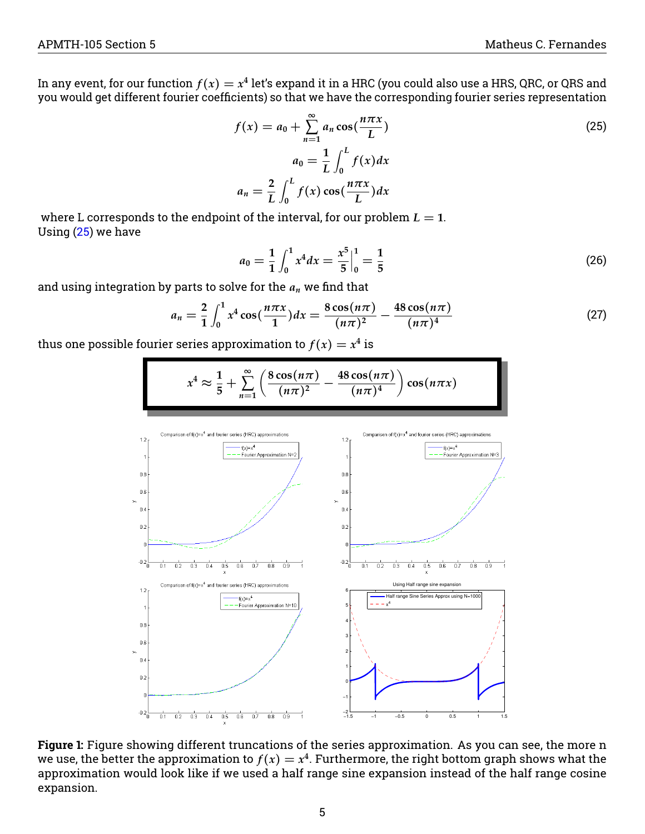In any event, for our function  $f(x)=x^4$  let's expand it in a HRC (you could also use a HRS, QRC, or QRS and you would get different fourier coefficients) so that we have the corresponding fourier series representation

<span id="page-4-0"></span>
$$
f(x) = a_0 + \sum_{n=1}^{\infty} a_n \cos(\frac{n\pi x}{L})
$$
  
\n
$$
a_0 = \frac{1}{L} \int_0^L f(x) dx
$$
  
\n
$$
a_n = \frac{2}{L} \int_0^L f(x) \cos(\frac{n\pi x}{L}) dx
$$
\n(25)

where L corresponds to the endpoint of the interval, for our problem  $L = 1$ . Using  $(25)$  we have

$$
a_0 = \frac{1}{1} \int_0^1 x^4 dx = \frac{x^5}{5} \Big|_0^1 = \frac{1}{5}
$$
 (26)

and using integration by parts to solve for the *a<sup>n</sup>* we find that

$$
a_n = \frac{2}{1} \int_0^1 x^4 \cos(\frac{n\pi x}{1}) dx = \frac{8 \cos(n\pi)}{(n\pi)^2} - \frac{48 \cos(n\pi)}{(n\pi)^4}
$$
 (27)

thus one possible fourier series approximation to  $f(x) = x^4$  is



**Figure 1:** Figure showing different truncations of the series approximation. As you can see, the more n we use, the better the approximation to  $f(x) = x^4$ . Furthermore, the right bottom graph shows what the approximation would look like if we used a half range sine expansion instead of the half range cosine expansion.